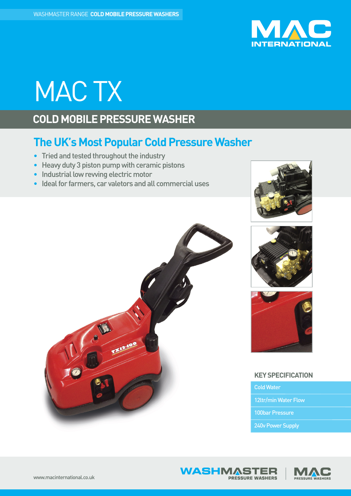

# MACTX

## **COLD MOBILE PRESSURE WASHER**

## **The UK's Most Popular Cold Pressure Washer**

- Tried and tested throughout the industry
- $\bullet$  Heavy duty 3 piston pump with ceramic pistons
- Industrial low rewing electric motor
- Ideal for farmers, car valetors and all commercial uses









### **KEYSPECIFICATION**

ColdWater

12ltr/min Water Flow

100bar Pressure

240v Power Supply